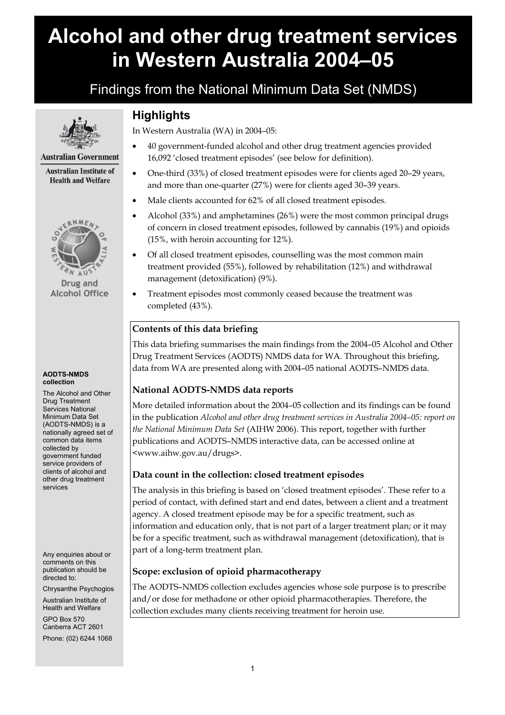# **Alcohol and other drug treatment services in Western Australia 2004–05**

# Findings from the National Minimum Data Set (NMDS)



#### **Australian Government**

**Australian Institute of Health and Welfare** 



Drug and **Alcohol Office** 

#### **AODTS-NMDS collection**

The Alcohol and Other Drug Treatment Services National Minimum Data Set (AODTS-NMDS) is a nationally agreed set of common data items collected by government funded service providers of clients of alcohol and other drug treatment services

Any enquiries about or comments on this publication should be directed to:

Chrysanthe Psychogios

Australian Institute of Health and Welfare GPO Box 570 Canberra ACT 2601 Phone: (02) 6244 1068

# **Highlights**

In Western Australia (WA) in 2004–05:

- 40 government-funded alcohol and other drug treatment agencies provided 16,092 'closed treatment episodes' (see below for definition).
- One-third (33%) of closed treatment episodes were for clients aged 20–29 years, and more than one-quarter (27%) were for clients aged 30–39 years.
- Male clients accounted for 62% of all closed treatment episodes.
- Alcohol (33%) and amphetamines (26%) were the most common principal drugs of concern in closed treatment episodes, followed by cannabis (19%) and opioids (15%, with heroin accounting for 12%).
- Of all closed treatment episodes, counselling was the most common main treatment provided (55%), followed by rehabilitation (12%) and withdrawal management (detoxification) (9%).
- Treatment episodes most commonly ceased because the treatment was completed (43%).

# **Contents of this data briefing**

This data briefing summarises the main findings from the 2004–05 Alcohol and Other Drug Treatment Services (AODTS) NMDS data for WA. Throughout this briefing, data from WA are presented along with 2004–05 national AODTS–NMDS data.

# **National AODTS-NMDS data reports**

More detailed information about the 2004–05 collection and its findings can be found in the publication *Alcohol and other drug treatment services in Australia 2004–05: report on the National Minimum Data Set* (AIHW 2006). This report, together with further publications and AODTS–NMDS interactive data, can be accessed online at <www.aihw.gov.au/drugs>.

# **Data count in the collection: closed treatment episodes**

The analysis in this briefing is based on 'closed treatment episodes'. These refer to a period of contact, with defined start and end dates, between a client and a treatment agency. A closed treatment episode may be for a specific treatment, such as information and education only, that is not part of a larger treatment plan; or it may be for a specific treatment, such as withdrawal management (detoxification), that is part of a long-term treatment plan.

# **Scope: exclusion of opioid pharmacotherapy**

The AODTS–NMDS collection excludes agencies whose sole purpose is to prescribe and/or dose for methadone or other opioid pharmacotherapies. Therefore, the collection excludes many clients receiving treatment for heroin use.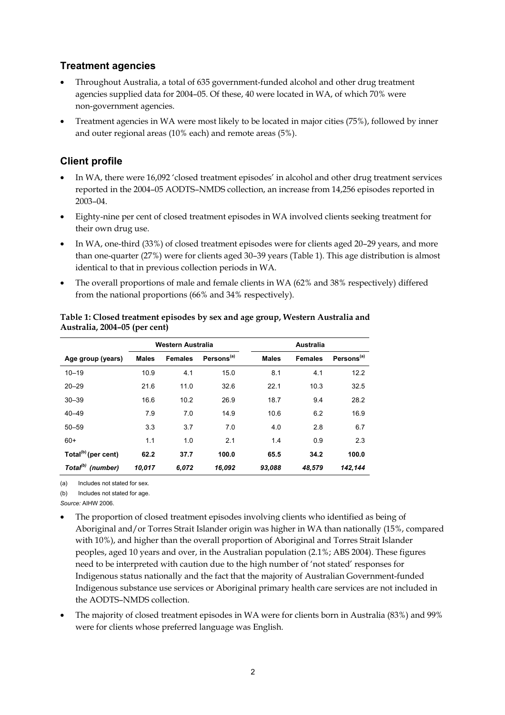# **Treatment agencies**

- Throughout Australia, a total of 635 government-funded alcohol and other drug treatment agencies supplied data for 2004–05. Of these, 40 were located in WA, of which 70% were non-government agencies.
- Treatment agencies in WA were most likely to be located in major cities (75%), followed by inner and outer regional areas (10% each) and remote areas (5%).

# **Client profile**

- In WA, there were 16,092 'closed treatment episodes' in alcohol and other drug treatment services reported in the 2004–05 AODTS–NMDS collection, an increase from 14,256 episodes reported in 2003–04.
- Eighty-nine per cent of closed treatment episodes in WA involved clients seeking treatment for their own drug use.
- In WA, one-third (33%) of closed treatment episodes were for clients aged 20–29 years, and more than one-quarter (27%) were for clients aged 30–39 years (Table 1). This age distribution is almost identical to that in previous collection periods in WA.
- The overall proportions of male and female clients in WA (62% and 38% respectively) differed from the national proportions (66% and 34% respectively).

|                                 | Western Australia |                |                        | <b>Australia</b> |                |                        |  |
|---------------------------------|-------------------|----------------|------------------------|------------------|----------------|------------------------|--|
| Age group (years)               | <b>Males</b>      | <b>Females</b> | Persons <sup>(a)</sup> | <b>Males</b>     | <b>Females</b> | Persons <sup>(a)</sup> |  |
| $10 - 19$                       | 10.9              | 4.1            | 15.0                   | 8.1              | 4.1            | 12.2                   |  |
| $20 - 29$                       | 21.6              | 11.0           | 32.6                   | 22.1             | 10.3           | 32.5                   |  |
| $30 - 39$                       | 16.6              | 10.2           | 26.9                   | 18.7             | 9.4            | 28.2                   |  |
| $40 - 49$                       | 7.9               | 7.0            | 14.9                   | 10.6             | 6.2            | 16.9                   |  |
| $50 - 59$                       | 3.3               | 3.7            | 7.0                    | 4.0              | 2.8            | 6.7                    |  |
| $60+$                           | 1.1               | 1.0            | 2.1                    | 1.4              | 0.9            | 2.3                    |  |
| Total <sup>(b)</sup> (per cent) | 62.2              | 37.7           | 100.0                  | 65.5             | 34.2           | 100.0                  |  |
| Total <sup>(b)</sup> (number)   | 10.017            | 6.072          | 16,092                 | 93,088           | 48.579         | 142.144                |  |

#### **Table 1: Closed treatment episodes by sex and age group, Western Australia and Australia, 2004–05 (per cent)**

(a) Includes not stated for sex.

(b) Includes not stated for age.

*Source:* AIHW 2006.

- The proportion of closed treatment episodes involving clients who identified as being of Aboriginal and/or Torres Strait Islander origin was higher in WA than nationally (15%, compared with 10%), and higher than the overall proportion of Aboriginal and Torres Strait Islander peoples, aged 10 years and over, in the Australian population (2.1%; ABS 2004). These figures need to be interpreted with caution due to the high number of 'not stated' responses for Indigenous status nationally and the fact that the majority of Australian Government-funded Indigenous substance use services or Aboriginal primary health care services are not included in the AODTS–NMDS collection.
- The majority of closed treatment episodes in WA were for clients born in Australia (83%) and 99% were for clients whose preferred language was English.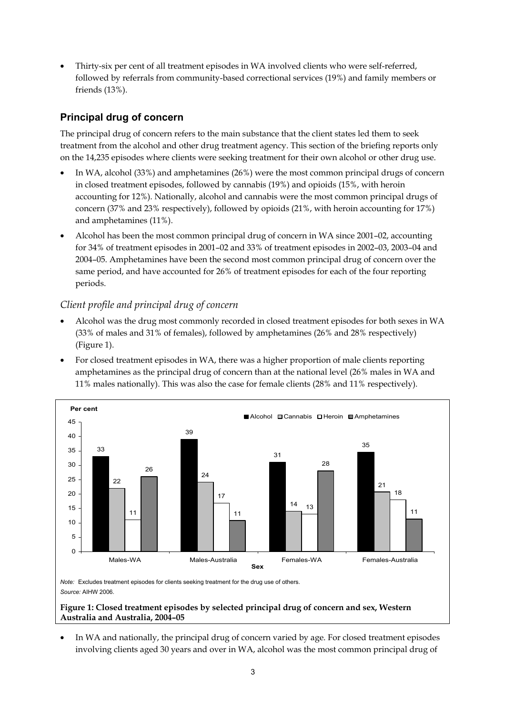• Thirty-six per cent of all treatment episodes in WA involved clients who were self-referred, followed by referrals from community-based correctional services (19%) and family members or friends (13%).

# **Principal drug of concern**

The principal drug of concern refers to the main substance that the client states led them to seek treatment from the alcohol and other drug treatment agency. This section of the briefing reports only on the 14,235 episodes where clients were seeking treatment for their own alcohol or other drug use.

- In WA, alcohol (33%) and amphetamines (26%) were the most common principal drugs of concern in closed treatment episodes, followed by cannabis (19%) and opioids (15%, with heroin accounting for 12%). Nationally, alcohol and cannabis were the most common principal drugs of concern (37% and 23% respectively), followed by opioids (21%, with heroin accounting for 17%) and amphetamines (11%).
- Alcohol has been the most common principal drug of concern in WA since 2001–02, accounting for 34% of treatment episodes in 2001–02 and 33% of treatment episodes in 2002–03, 2003–04 and 2004–05. Amphetamines have been the second most common principal drug of concern over the same period, and have accounted for 26% of treatment episodes for each of the four reporting periods.

#### *Client profile and principal drug of concern*

- Alcohol was the drug most commonly recorded in closed treatment episodes for both sexes in WA (33% of males and 31% of females), followed by amphetamines (26% and 28% respectively) (Figure 1).
- For closed treatment episodes in WA, there was a higher proportion of male clients reporting amphetamines as the principal drug of concern than at the national level (26% males in WA and 11% males nationally). This was also the case for female clients (28% and 11% respectively).



*Source:* AIHW 2006.

#### **Figure 1: Closed treatment episodes by selected principal drug of concern and sex, Western Australia and Australia, 2004–05**

In WA and nationally, the principal drug of concern varied by age. For closed treatment episodes involving clients aged 30 years and over in WA, alcohol was the most common principal drug of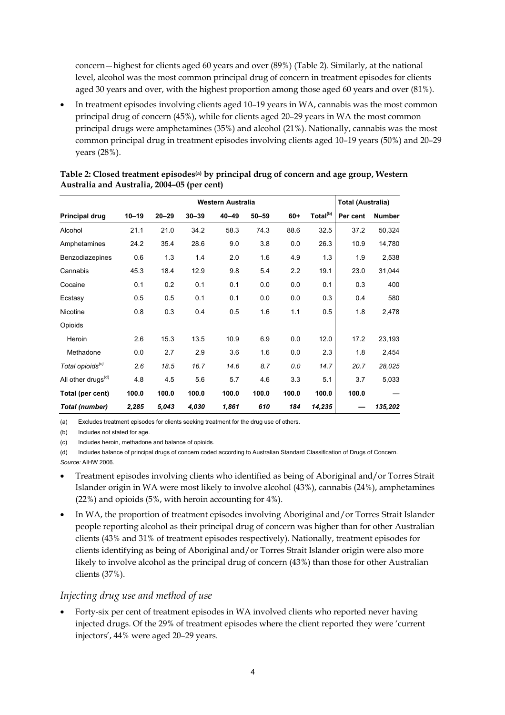concern—highest for clients aged 60 years and over (89%) (Table 2). Similarly, at the national level, alcohol was the most common principal drug of concern in treatment episodes for clients aged 30 years and over, with the highest proportion among those aged 60 years and over (81%).

• In treatment episodes involving clients aged 10–19 years in WA, cannabis was the most common principal drug of concern (45%), while for clients aged 20–29 years in WA the most common principal drugs were amphetamines (35%) and alcohol (21%). Nationally, cannabis was the most common principal drug in treatment episodes involving clients aged 10–19 years (50%) and 20–29 years (28%).

|                                | Western Australia |           |           |           |           |       | <b>Total (Australia)</b> |          |               |
|--------------------------------|-------------------|-----------|-----------|-----------|-----------|-------|--------------------------|----------|---------------|
| <b>Principal drug</b>          | $10 - 19$         | $20 - 29$ | $30 - 39$ | $40 - 49$ | $50 - 59$ | $60+$ | Total <sup>(b)</sup>     | Per cent | <b>Number</b> |
| Alcohol                        | 21.1              | 21.0      | 34.2      | 58.3      | 74.3      | 88.6  | 32.5                     | 37.2     | 50,324        |
| Amphetamines                   | 24.2              | 35.4      | 28.6      | 9.0       | 3.8       | 0.0   | 26.3                     | 10.9     | 14,780        |
| Benzodiazepines                | 0.6               | 1.3       | 1.4       | 2.0       | 1.6       | 4.9   | 1.3                      | 1.9      | 2,538         |
| Cannabis                       | 45.3              | 18.4      | 12.9      | 9.8       | 5.4       | 2.2   | 19.1                     | 23.0     | 31,044        |
| Cocaine                        | 0.1               | 0.2       | 0.1       | 0.1       | 0.0       | 0.0   | 0.1                      | 0.3      | 400           |
| Ecstasy                        | 0.5               | 0.5       | 0.1       | 0.1       | 0.0       | 0.0   | 0.3                      | 0.4      | 580           |
| Nicotine                       | 0.8               | 0.3       | 0.4       | 0.5       | 1.6       | 1.1   | 0.5                      | 1.8      | 2,478         |
| Opioids                        |                   |           |           |           |           |       |                          |          |               |
| Heroin                         | 2.6               | 15.3      | 13.5      | 10.9      | 6.9       | 0.0   | 12.0                     | 17.2     | 23,193        |
| Methadone                      | 0.0               | 2.7       | 2.9       | 3.6       | 1.6       | 0.0   | 2.3                      | 1.8      | 2,454         |
| Total opioids <sup>(c)</sup>   | 2.6               | 18.5      | 16.7      | 14.6      | 8.7       | 0.0   | 14.7                     | 20.7     | 28,025        |
| All other drugs <sup>(d)</sup> | 4.8               | 4.5       | 5.6       | 5.7       | 4.6       | 3.3   | 5.1                      | 3.7      | 5,033         |
| Total (per cent)               | 100.0             | 100.0     | 100.0     | 100.0     | 100.0     | 100.0 | 100.0                    | 100.0    |               |
| Total (number)                 | 2,285             | 5,043     | 4,030     | 1,861     | 610       | 184   | 14,235                   |          | 135,202       |

#### **Table 2: Closed treatment episodes(a) by principal drug of concern and age group, Western Australia and Australia, 2004–05 (per cent)**

(a) Excludes treatment episodes for clients seeking treatment for the drug use of others.

(b) Includes not stated for age.

(c) Includes heroin, methadone and balance of opioids.

(d) Includes balance of principal drugs of concern coded according to Australian Standard Classification of Drugs of Concern. *Source:* AIHW 2006.

- Treatment episodes involving clients who identified as being of Aboriginal and/or Torres Strait Islander origin in WA were most likely to involve alcohol (43%), cannabis (24%), amphetamines (22%) and opioids (5%, with heroin accounting for 4%).
- In WA, the proportion of treatment episodes involving Aboriginal and/or Torres Strait Islander people reporting alcohol as their principal drug of concern was higher than for other Australian clients (43% and 31% of treatment episodes respectively). Nationally, treatment episodes for clients identifying as being of Aboriginal and/or Torres Strait Islander origin were also more likely to involve alcohol as the principal drug of concern (43%) than those for other Australian clients (37%).

#### *Injecting drug use and method of use*

• Forty-six per cent of treatment episodes in WA involved clients who reported never having injected drugs. Of the 29% of treatment episodes where the client reported they were 'current injectors', 44% were aged 20–29 years.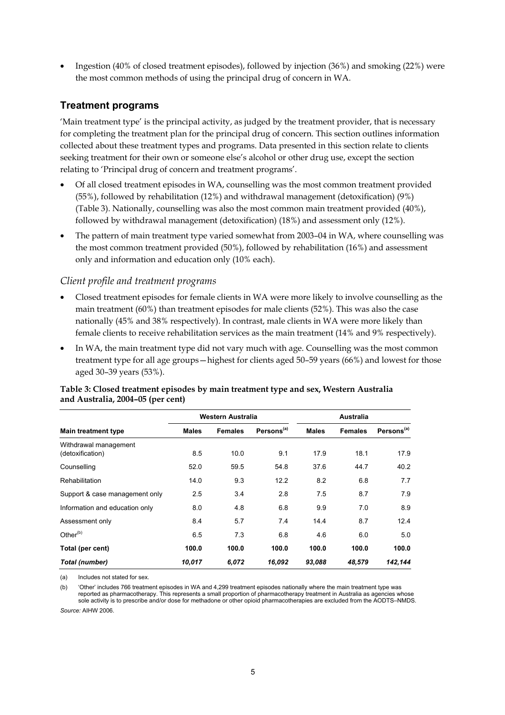• Ingestion (40% of closed treatment episodes), followed by injection (36%) and smoking (22%) were the most common methods of using the principal drug of concern in WA.

### **Treatment programs**

'Main treatment type' is the principal activity, as judged by the treatment provider, that is necessary for completing the treatment plan for the principal drug of concern. This section outlines information collected about these treatment types and programs. Data presented in this section relate to clients seeking treatment for their own or someone else's alcohol or other drug use, except the section relating to 'Principal drug of concern and treatment programs'.

- Of all closed treatment episodes in WA, counselling was the most common treatment provided (55%), followed by rehabilitation (12%) and withdrawal management (detoxification) (9%) (Table 3). Nationally, counselling was also the most common main treatment provided (40%), followed by withdrawal management (detoxification) (18%) and assessment only (12%).
- The pattern of main treatment type varied somewhat from 2003–04 in WA, where counselling was the most common treatment provided (50%), followed by rehabilitation (16%) and assessment only and information and education only (10% each).

#### *Client profile and treatment programs*

- Closed treatment episodes for female clients in WA were more likely to involve counselling as the main treatment (60%) than treatment episodes for male clients (52%). This was also the case nationally (45% and 38% respectively). In contrast, male clients in WA were more likely than female clients to receive rehabilitation services as the main treatment (14% and 9% respectively).
- In WA, the main treatment type did not vary much with age. Counselling was the most common treatment type for all age groups—highest for clients aged 50–59 years (66%) and lowest for those aged 30–39 years (53%).

|                                           | Western Australia |                |                        | <b>Australia</b> |                |                        |
|-------------------------------------------|-------------------|----------------|------------------------|------------------|----------------|------------------------|
| <b>Main treatment type</b>                | <b>Males</b>      | <b>Females</b> | Persons <sup>(a)</sup> | <b>Males</b>     | <b>Females</b> | Persons <sup>(a)</sup> |
| Withdrawal management<br>(detoxification) | 8.5               | 10.0           | 9.1                    | 17.9             | 18.1           | 17.9                   |
| Counselling                               | 52.0              | 59.5           | 54.8                   | 37.6             | 44.7           | 40.2                   |
| Rehabilitation                            | 14.0              | 9.3            | 12.2                   | 8.2              | 6.8            | 7.7                    |
| Support & case management only            | 2.5               | 3.4            | 2.8                    | 7.5              | 8.7            | 7.9                    |
| Information and education only            | 8.0               | 4.8            | 6.8                    | 9.9              | 7.0            | 8.9                    |
| Assessment only                           | 8.4               | 5.7            | 7.4                    | 14.4             | 8.7            | 12.4                   |
| Other $(b)$                               | 6.5               | 7.3            | 6.8                    | 4.6              | 6.0            | 5.0                    |
| Total (per cent)                          | 100.0             | 100.0          | 100.0                  | 100.0            | 100.0          | 100.0                  |
| Total (number)                            | 10,017            | 6,072          | 16,092                 | 93,088           | 48,579         | 142,144                |

#### **Table 3: Closed treatment episodes by main treatment type and sex, Western Australia and Australia, 2004–05 (per cent)**

(a) Includes not stated for sex.

(b) 'Other' includes 766 treatment episodes in WA and 4,299 treatment episodes nationally where the main treatment type was reported as pharmacotherapy. This represents a small proportion of pharmacotherapy treatment in Australia as agencies whose sole activity is to prescribe and/or dose for methadone or other opioid pharmacotherapies are excluded from the AODTS–NMDS.

*Source:* AIHW 2006.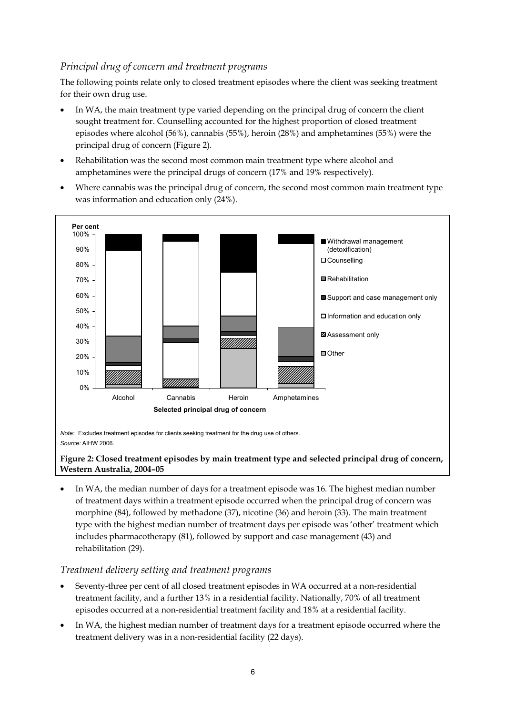# *Principal drug of concern and treatment programs*

The following points relate only to closed treatment episodes where the client was seeking treatment for their own drug use.

- In WA, the main treatment type varied depending on the principal drug of concern the client sought treatment for. Counselling accounted for the highest proportion of closed treatment episodes where alcohol (56%), cannabis (55%), heroin (28%) and amphetamines (55%) were the principal drug of concern (Figure 2).
- Rehabilitation was the second most common main treatment type where alcohol and amphetamines were the principal drugs of concern (17% and 19% respectively).
- Where cannabis was the principal drug of concern, the second most common main treatment type was information and education only (24%).



#### **Figure 2: Closed treatment episodes by main treatment type and selected principal drug of concern, Western Australia, 2004–05**

• In WA, the median number of days for a treatment episode was 16. The highest median number of treatment days within a treatment episode occurred when the principal drug of concern was morphine (84), followed by methadone (37), nicotine (36) and heroin (33). The main treatment type with the highest median number of treatment days per episode was 'other' treatment which includes pharmacotherapy (81), followed by support and case management (43) and rehabilitation (29).

#### *Treatment delivery setting and treatment programs*

- Seventy-three per cent of all closed treatment episodes in WA occurred at a non-residential treatment facility, and a further 13% in a residential facility. Nationally, 70% of all treatment episodes occurred at a non-residential treatment facility and 18% at a residential facility.
- In WA, the highest median number of treatment days for a treatment episode occurred where the treatment delivery was in a non-residential facility (22 days).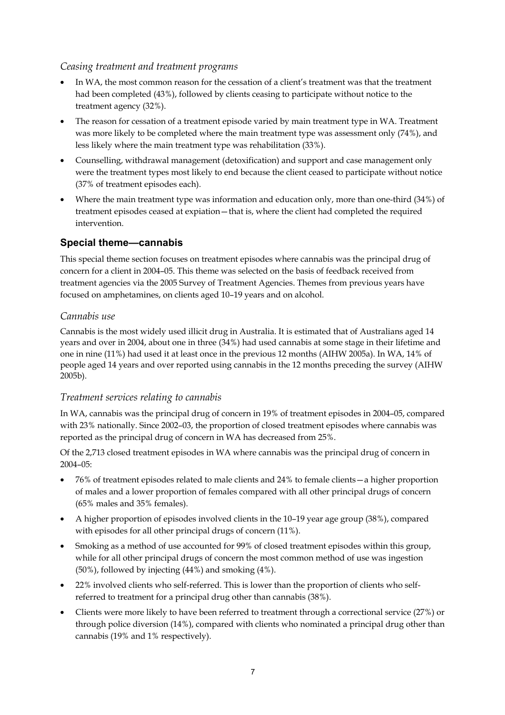#### *Ceasing treatment and treatment programs*

- In WA, the most common reason for the cessation of a client's treatment was that the treatment had been completed (43%), followed by clients ceasing to participate without notice to the treatment agency (32%).
- The reason for cessation of a treatment episode varied by main treatment type in WA. Treatment was more likely to be completed where the main treatment type was assessment only  $(74%)$ , and less likely where the main treatment type was rehabilitation (33%).
- Counselling, withdrawal management (detoxification) and support and case management only were the treatment types most likely to end because the client ceased to participate without notice (37% of treatment episodes each).
- Where the main treatment type was information and education only, more than one-third (34%) of treatment episodes ceased at expiation—that is, where the client had completed the required intervention.

# **Special theme—cannabis**

This special theme section focuses on treatment episodes where cannabis was the principal drug of concern for a client in 2004–05. This theme was selected on the basis of feedback received from treatment agencies via the 2005 Survey of Treatment Agencies. Themes from previous years have focused on amphetamines, on clients aged 10–19 years and on alcohol.

# *Cannabis use*

Cannabis is the most widely used illicit drug in Australia. It is estimated that of Australians aged 14 years and over in 2004, about one in three (34%) had used cannabis at some stage in their lifetime and one in nine (11%) had used it at least once in the previous 12 months (AIHW 2005a). In WA, 14% of people aged 14 years and over reported using cannabis in the 12 months preceding the survey (AIHW 2005b).

# *Treatment services relating to cannabis*

In WA, cannabis was the principal drug of concern in 19% of treatment episodes in 2004–05, compared with 23% nationally. Since 2002–03, the proportion of closed treatment episodes where cannabis was reported as the principal drug of concern in WA has decreased from 25%.

Of the 2,713 closed treatment episodes in WA where cannabis was the principal drug of concern in 2004–05:

- 76% of treatment episodes related to male clients and 24% to female clients—a higher proportion of males and a lower proportion of females compared with all other principal drugs of concern (65% males and 35% females).
- A higher proportion of episodes involved clients in the 10–19 year age group (38%), compared with episodes for all other principal drugs of concern (11%).
- Smoking as a method of use accounted for 99% of closed treatment episodes within this group, while for all other principal drugs of concern the most common method of use was ingestion (50%), followed by injecting (44%) and smoking (4%).
- 22% involved clients who self-referred. This is lower than the proportion of clients who selfreferred to treatment for a principal drug other than cannabis (38%).
- Clients were more likely to have been referred to treatment through a correctional service (27%) or through police diversion (14%), compared with clients who nominated a principal drug other than cannabis (19% and 1% respectively).